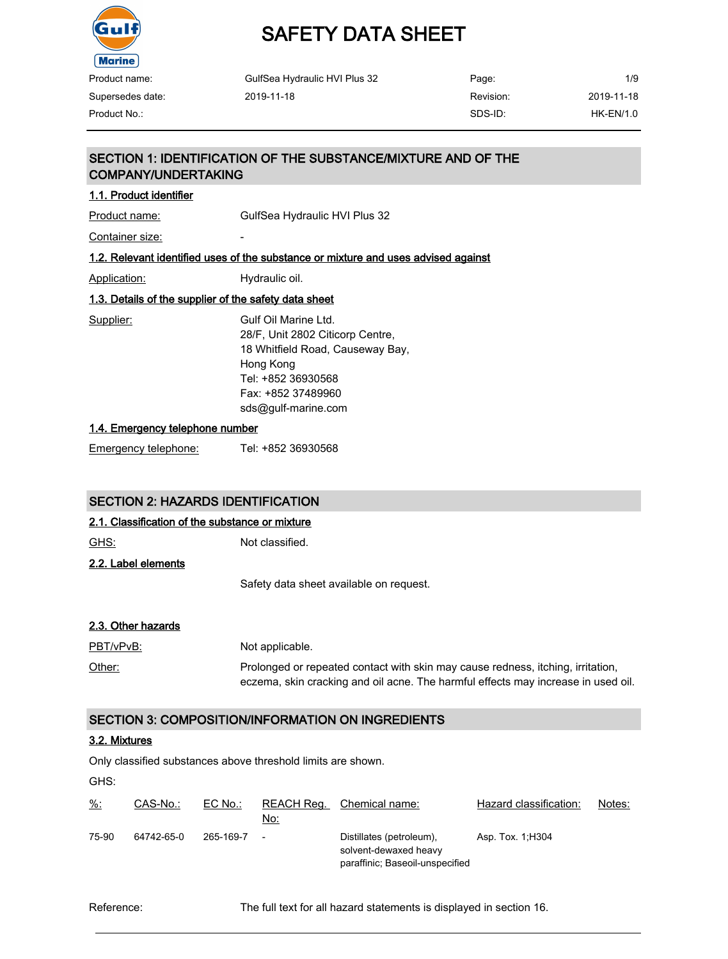

# SAFETY DATA SHEET

| Product name:    | GulfSea Hydraulic HVI Plus 32 | Page:     | 1/9         |
|------------------|-------------------------------|-----------|-------------|
| Supersedes date: | 2019-11-18                    | Revision: | 2019-11-18  |
| Product No.:     |                               | SDS-ID:   | $HK-EN/1.0$ |

# SECTION 1: IDENTIFICATION OF THE SUBSTANCE/MIXTURE AND OF THE COMPANY/UNDERTAKING

#### 1.1. Product identifier

Product name: GulfSea Hydraulic HVI Plus 32

Container size:

#### 1.2. Relevant identified uses of the substance or mixture and uses advised against

Application: Hydraulic oil.

### 1.3. Details of the supplier of the safety data sheet

Supplier: Gulf Oil Marine Ltd. 28/F, Unit 2802 Citicorp Centre, 18 Whitfield Road, Causeway Bay, Hong Kong Tel: +852 36930568 Fax: +852 37489960 sds@gulf-marine.com

#### 1.4. Emergency telephone number

Emergency telephone: Tel: +852 36930568

### SECTION 2: HAZARDS IDENTIFICATION

#### 2.1. Classification of the substance or mixture

GHS: Not classified. 2.2. Label elements Safety data sheet available on request.

#### 2.3. Other hazards

PBT/vPvB: Not applicable. Other: Prolonged or repeated contact with skin may cause redness, itching, irritation, eczema, skin cracking and oil acne. The harmful effects may increase in used oil.

# SECTION 3: COMPOSITION/INFORMATION ON INGREDIENTS

#### 3.2. Mixtures

Only classified substances above threshold limits are shown.

GHS:

| $\frac{9}{6}$ : | CAS-No.:   | EC No.:   | No:    | REACH Reg. Chemical name:                                                            | Hazard classification: | Notes: |
|-----------------|------------|-----------|--------|--------------------------------------------------------------------------------------|------------------------|--------|
| 75-90           | 64742-65-0 | 265-169-7 | $\sim$ | Distillates (petroleum),<br>solvent-dewaxed heavy<br>paraffinic; Baseoil-unspecified | Asp. Tox. 1, H304      |        |

Reference: The full text for all hazard statements is displayed in section 16.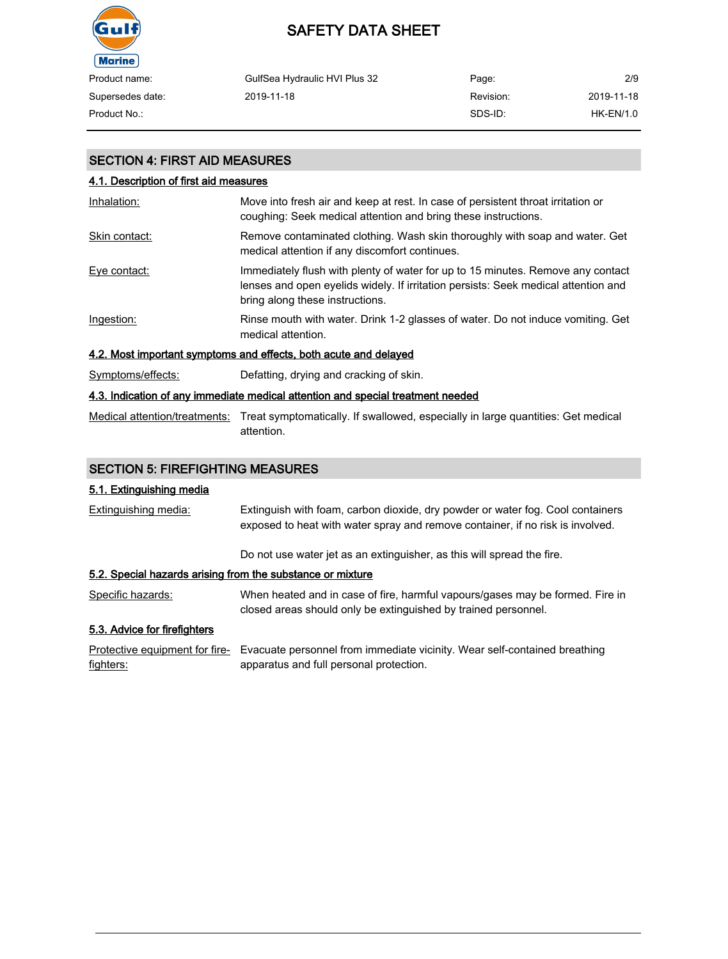

| Product name:    | GulfSea Hydraulic HVI Plus 32 | Page:     | 2/9         |
|------------------|-------------------------------|-----------|-------------|
| Supersedes date: | 2019-11-18                    | Revision: | 2019-11-18  |
| Product No.:     |                               | SDS-ID:   | $HK-EN/1.0$ |

# SECTION 4: FIRST AID MEASURES

| 4.1. Description of first aid measures |                                                                                                                                                                                                          |
|----------------------------------------|----------------------------------------------------------------------------------------------------------------------------------------------------------------------------------------------------------|
| Inhalation:                            | Move into fresh air and keep at rest. In case of persistent throat irritation or<br>coughing: Seek medical attention and bring these instructions.                                                       |
| Skin contact:                          | Remove contaminated clothing. Wash skin thoroughly with soap and water. Get<br>medical attention if any discomfort continues.                                                                            |
| Eye contact:                           | Immediately flush with plenty of water for up to 15 minutes. Remove any contact<br>lenses and open eyelids widely. If irritation persists: Seek medical attention and<br>bring along these instructions. |
| Ingestion:                             | Rinse mouth with water. Drink 1-2 glasses of water. Do not induce vomiting. Get<br>medical attention.                                                                                                    |
|                                        | 4.2. Most important symptoms and effects, both acute and delayed                                                                                                                                         |
| Symptoms/effects:                      | Defatting, drying and cracking of skin.                                                                                                                                                                  |
|                                        | A 2. Indication of any immodiate modies attention and enocial treatment needed                                                                                                                           |

# 4.3. Indication of any immediate medical attention and special treatment needed

Medical attention/treatments: Treat symptomatically. If swallowed, especially in large quantities: Get medical attention.

# SECTION 5: FIREFIGHTING MEASURES

## 5.1. Extinguishing media

| Extinguishing media:                                       | Extinguish with foam, carbon dioxide, dry powder or water fog. Cool containers<br>exposed to heat with water spray and remove container, if no risk is involved. |
|------------------------------------------------------------|------------------------------------------------------------------------------------------------------------------------------------------------------------------|
|                                                            | Do not use water jet as an extinguisher, as this will spread the fire.                                                                                           |
| 5.2. Special hazards arising from the substance or mixture |                                                                                                                                                                  |
| Specific hazards:                                          | When heated and in case of fire, harmful vapours/gases may be formed. Fire in<br>closed areas should only be extinguished by trained personnel.                  |
| 5.3. Advice for firefighters                               |                                                                                                                                                                  |
| Protective equipment for fire-<br>fighters:                | Evacuate personnel from immediate vicinity. Wear self-contained breathing<br>apparatus and full personal protection.                                             |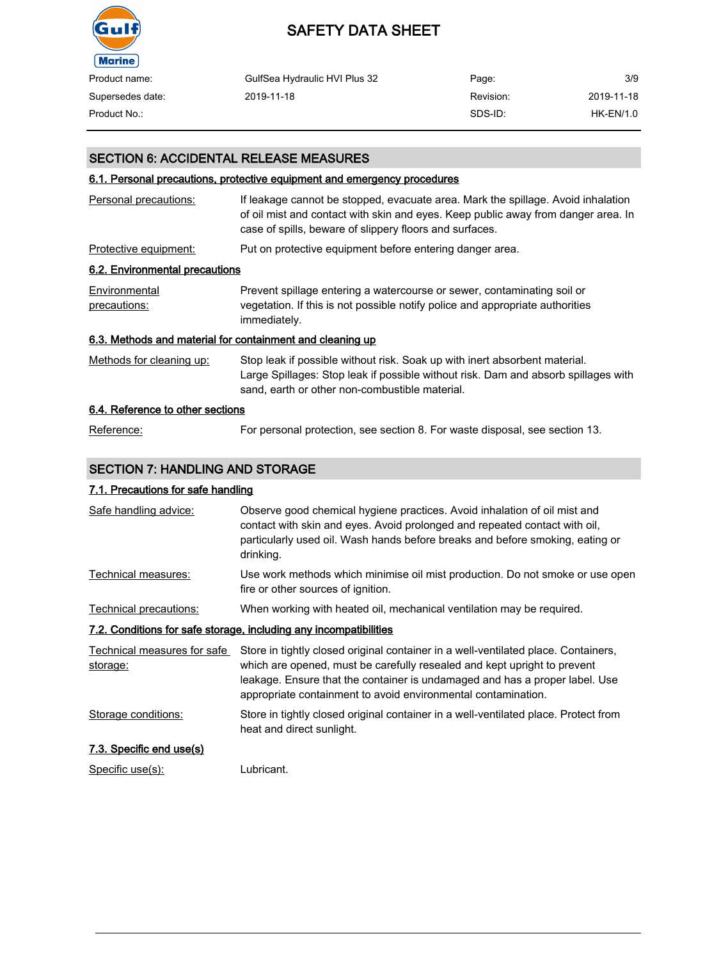

| Product name:    | GulfSea Hydraulic HVI Plus 32 | Page:     | 3/9         |
|------------------|-------------------------------|-----------|-------------|
| Supersedes date: | 2019-11-18                    | Revision: | 2019-11-18  |
| Product No.:     |                               | SDS-ID:   | $HK-EN/1.0$ |

## SECTION 6: ACCIDENTAL RELEASE MEASURES

### 6.1. Personal precautions, protective equipment and emergency procedures

| Personal precautions:                                     | If leakage cannot be stopped, evacuate area. Mark the spillage. Avoid inhalation<br>of oil mist and contact with skin and eyes. Keep public away from danger area. In<br>case of spills, beware of slippery floors and surfaces. |
|-----------------------------------------------------------|----------------------------------------------------------------------------------------------------------------------------------------------------------------------------------------------------------------------------------|
| Protective equipment:                                     | Put on protective equipment before entering danger area.                                                                                                                                                                         |
| 6.2. Environmental precautions                            |                                                                                                                                                                                                                                  |
| Environmental<br>precautions:                             | Prevent spillage entering a watercourse or sewer, contaminating soil or<br>vegetation. If this is not possible notify police and appropriate authorities<br>immediately.                                                         |
| 6.3. Methods and material for containment and cleaning up |                                                                                                                                                                                                                                  |
| Methods for cleaning up:                                  | Stop leak if possible without risk. Soak up with inert absorbent material.<br>Large Spillages: Stop leak if possible without risk. Dam and absorb spillages with<br>sand, earth or other non-combustible material.               |
| 6.4. Reference to other sections                          |                                                                                                                                                                                                                                  |
|                                                           |                                                                                                                                                                                                                                  |

# Reference: For personal protection, see section 8. For waste disposal, see section 13.

#### SECTION 7: HANDLING AND STORAGE

#### 7.1. Precautions for safe handling

| Safe handling advice:                   | Observe good chemical hygiene practices. Avoid inhalation of oil mist and<br>contact with skin and eyes. Avoid prolonged and repeated contact with oil,<br>particularly used oil. Wash hands before breaks and before smoking, eating or<br>drinking.                                                          |
|-----------------------------------------|----------------------------------------------------------------------------------------------------------------------------------------------------------------------------------------------------------------------------------------------------------------------------------------------------------------|
| Technical measures:                     | Use work methods which minimise oil mist production. Do not smoke or use open<br>fire or other sources of ignition.                                                                                                                                                                                            |
| Technical precautions:                  | When working with heated oil, mechanical ventilation may be required.                                                                                                                                                                                                                                          |
|                                         | 7.2. Conditions for safe storage, including any incompatibilities                                                                                                                                                                                                                                              |
| Technical measures for safe<br>storage: | Store in tightly closed original container in a well-ventilated place. Containers,<br>which are opened, must be carefully resealed and kept upright to prevent<br>leakage. Ensure that the container is undamaged and has a proper label. Use<br>appropriate containment to avoid environmental contamination. |
| Storage conditions:                     | Store in tightly closed original container in a well-ventilated place. Protect from<br>heat and direct sunlight.                                                                                                                                                                                               |
| 7.3. Specific end use(s)                |                                                                                                                                                                                                                                                                                                                |
| Specific use(s):                        | Lubricant.                                                                                                                                                                                                                                                                                                     |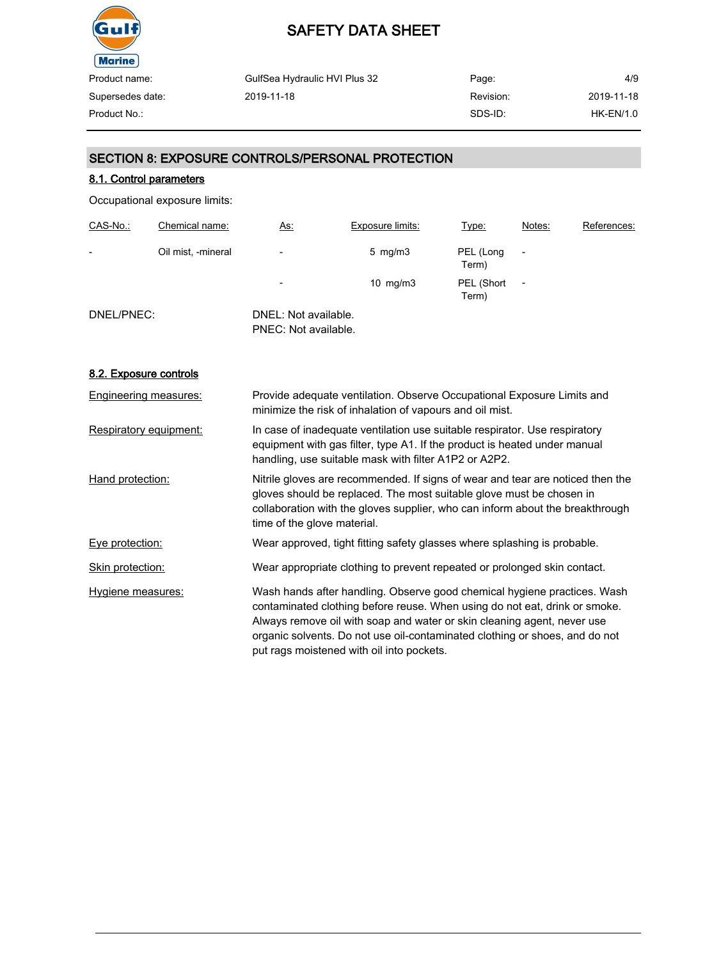

| GulfSea Hydraulic HVI Plus 32 | Page:     | 4/9              |
|-------------------------------|-----------|------------------|
| 2019-11-18                    | Revision: | 2019-11-18       |
|                               | SDS-ID:   | <b>HK-EN/1.0</b> |
|                               |           |                  |

# SECTION 8: EXPOSURE CONTROLS/PERSONAL PROTECTION

### 8.1. Control parameters

Occupational exposure limits:

| CAS-No.:                 | Chemical name:     | <u>As:</u>                                   | Exposure limits: | <u>Type:</u>        | Notes:         | References: |
|--------------------------|--------------------|----------------------------------------------|------------------|---------------------|----------------|-------------|
| $\overline{\phantom{0}}$ | Oil mist, -mineral | $\overline{\phantom{a}}$                     | 5 mg/m $3$       | PEL (Long<br>Term)  |                |             |
|                          |                    | $\overline{\phantom{0}}$                     | 10 $mg/m3$       | PEL (Short<br>Term) | $\overline{a}$ |             |
| DNEL/PNEC:               |                    | DNEL: Not available.<br>PNEC: Not available. |                  |                     |                |             |

#### 8.2. Exposure controls

| <b>Engineering measures:</b> | Provide adequate ventilation. Observe Occupational Exposure Limits and<br>minimize the risk of inhalation of vapours and oil mist.                                                                                                                                                                                                                            |
|------------------------------|---------------------------------------------------------------------------------------------------------------------------------------------------------------------------------------------------------------------------------------------------------------------------------------------------------------------------------------------------------------|
| Respiratory equipment:       | In case of inadequate ventilation use suitable respirator. Use respiratory<br>equipment with gas filter, type A1. If the product is heated under manual<br>handling, use suitable mask with filter A1P2 or A2P2.                                                                                                                                              |
| Hand protection:             | Nitrile gloves are recommended. If signs of wear and tear are noticed then the<br>gloves should be replaced. The most suitable glove must be chosen in<br>collaboration with the gloves supplier, who can inform about the breakthrough<br>time of the glove material.                                                                                        |
| Eye protection:              | Wear approved, tight fitting safety glasses where splashing is probable.                                                                                                                                                                                                                                                                                      |
| Skin protection:             | Wear appropriate clothing to prevent repeated or prolonged skin contact.                                                                                                                                                                                                                                                                                      |
| Hygiene measures:            | Wash hands after handling. Observe good chemical hygiene practices. Wash<br>contaminated clothing before reuse. When using do not eat, drink or smoke.<br>Always remove oil with soap and water or skin cleaning agent, never use<br>organic solvents. Do not use oil-contaminated clothing or shoes, and do not<br>put rags moistened with oil into pockets. |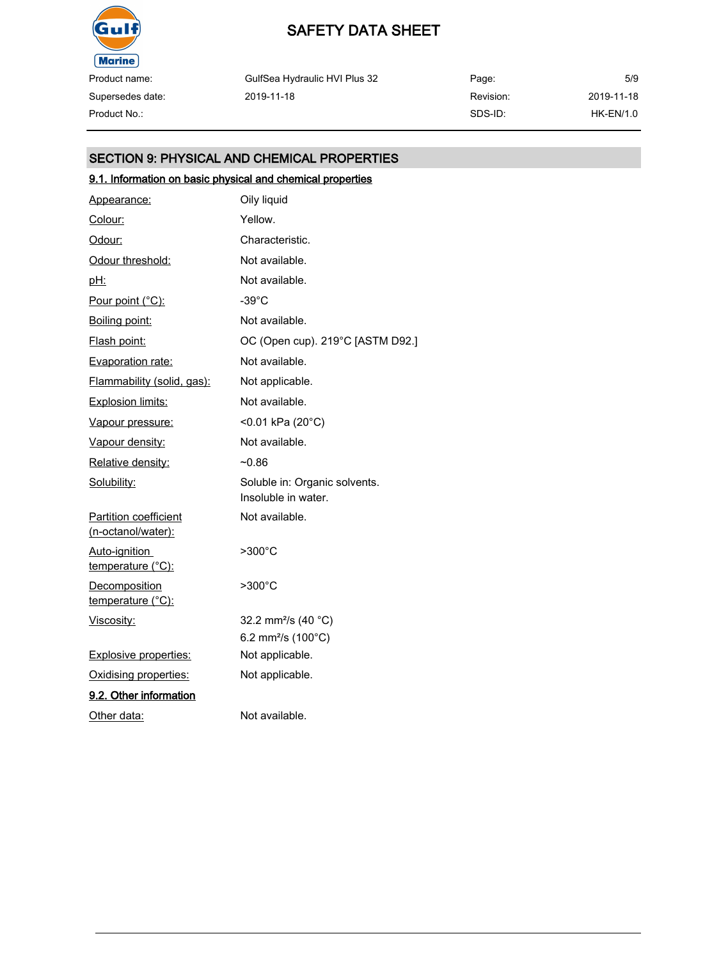

Supersedes date:

# SAFETY DATA SHEET

GulfSea Hydraulic HVI Plus 32 2019-11-18

Page: Revision: SDS-ID: 5/9 2019-11-18 Product No.: HK-EN/1.0

# SECTION 9: PHYSICAL AND CHEMICAL PROPERTIES

# 9.1. Information on basic physical and chemical properties

| Appearance:                                        | Oily liquid                                          |
|----------------------------------------------------|------------------------------------------------------|
| Colour:                                            | Yellow.                                              |
| Odour:                                             | Characteristic.                                      |
| Odour threshold:                                   | Not available.                                       |
| <u>pH:</u>                                         | Not available.                                       |
| Pour point (°C):                                   | $-39^{\circ}$ C                                      |
| Boiling point:                                     | Not available.                                       |
| Flash point:                                       | OC (Open cup). 219°C [ASTM D92.]                     |
| Evaporation rate:                                  | Not available.                                       |
| Flammability (solid, gas):                         | Not applicable.                                      |
| <b>Explosion limits:</b>                           | Not available.                                       |
| Vapour pressure:                                   | <0.01 kPa (20°C)                                     |
| Vapour density:                                    | Not available.                                       |
| Relative density:                                  | $-0.86$                                              |
| Solubility:                                        | Soluble in: Organic solvents.<br>Insoluble in water. |
| <b>Partition coefficient</b><br>(n-octanol/water): | Not available.                                       |
| Auto-ignition<br><u>temperature (°C):</u>          | $>300^{\circ}$ C                                     |
| Decomposition<br>temperature (°C):                 | >300°C                                               |
| Viscosity:                                         | 32.2 mm <sup>2</sup> /s (40 °C)                      |
|                                                    | 6.2 mm <sup>2</sup> /s (100 $^{\circ}$ C)            |
| Explosive properties:                              | Not applicable.                                      |
| Oxidising properties:                              | Not applicable.                                      |
| 9.2. Other information                             |                                                      |
| Other data:                                        | Not available.                                       |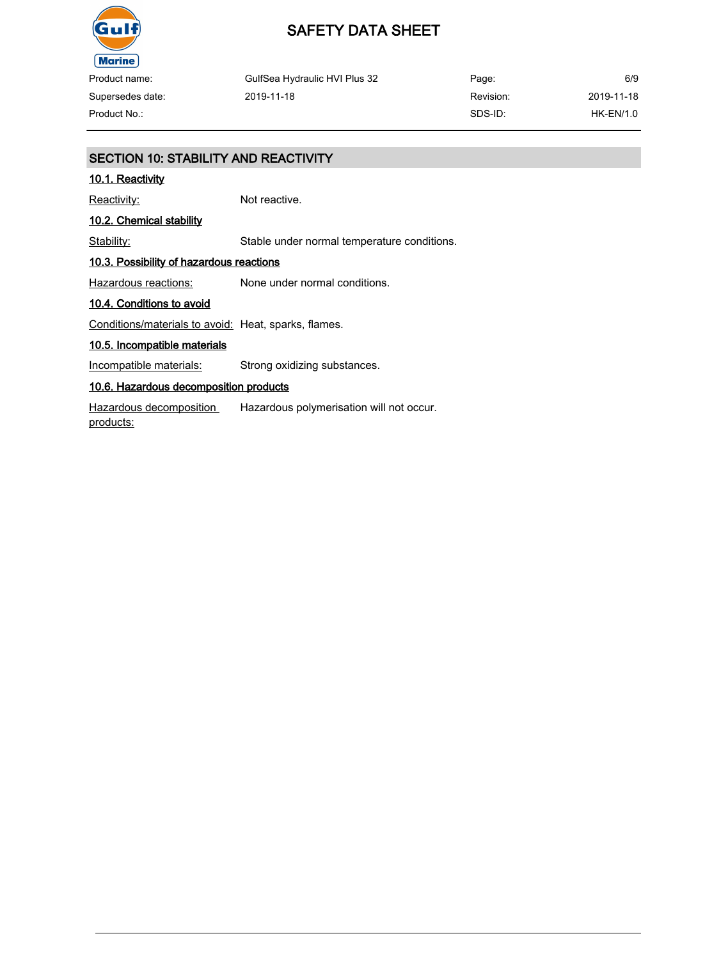

Product name: Supersedes date:

Page: Revision: SDS-ID: 6/9 2019-11-18 Product No.: HK-EN/1.0

# SECTION 10: STABILITY AND REACTIVITY

#### 10.1. Reactivity

Reactivity: Not reactive.

2019-11-18

### 10.2. Chemical stability

Stability: Stable under normal temperature conditions.

GulfSea Hydraulic HVI Plus 32

#### 10.3. Possibility of hazardous reactions

Hazardous reactions: None under normal conditions.

#### 10.4. Conditions to avoid

Conditions/materials to avoid: Heat, sparks, flames.

#### 10.5. Incompatible materials

Incompatible materials: Strong oxidizing substances.

#### 10.6. Hazardous decomposition products

Hazardous decomposition products: Hazardous polymerisation will not occur.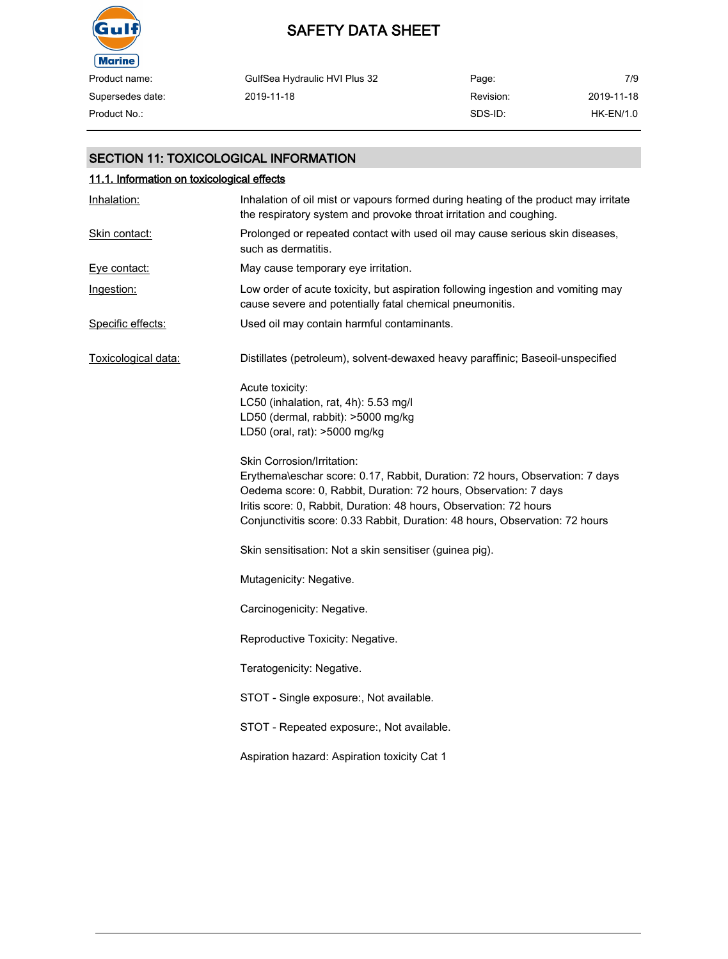

# SAFETY DATA SHEET

| Product name:    | GulfSea Hydraulic HVI Plus 32 | Page:     | 7/9        |
|------------------|-------------------------------|-----------|------------|
| Supersedes date: | 2019-11-18                    | Revision: | 2019-11-18 |
| Product No.:     |                               | SDS-ID:   | HK-EN/1.0  |

### SECTION 11: TOXICOLOGICAL INFORMATION

# 11.1. Information on toxicological effects Inhalation: Inhalation of oil mist or vapours formed during heating of the product may irritate the respiratory system and provoke throat irritation and coughing. Skin contact: Prolonged or repeated contact with used oil may cause serious skin diseases, such as dermatitis. Eye contact: May cause temporary eye irritation. Ingestion: Low order of acute toxicity, but aspiration following ingestion and vomiting may cause severe and potentially fatal chemical pneumonitis. Specific effects: Used oil may contain harmful contaminants. Toxicological data: Distillates (petroleum), solvent-dewaxed heavy paraffinic; Baseoil-unspecified Acute toxicity: LC50 (inhalation, rat, 4h): 5.53 mg/l LD50 (dermal, rabbit): >5000 mg/kg LD50 (oral, rat): >5000 mg/kg Skin Corrosion/Irritation: Erythema\eschar score: 0.17, Rabbit, Duration: 72 hours, Observation: 7 days Oedema score: 0, Rabbit, Duration: 72 hours, Observation: 7 days Iritis score: 0, Rabbit, Duration: 48 hours, Observation: 72 hours Conjunctivitis score: 0.33 Rabbit, Duration: 48 hours, Observation: 72 hours Skin sensitisation: Not a skin sensitiser (guinea pig). Mutagenicity: Negative. Carcinogenicity: Negative. Reproductive Toxicity: Negative. Teratogenicity: Negative. STOT - Single exposure:, Not available. STOT - Repeated exposure:, Not available. Aspiration hazard: Aspiration toxicity Cat 1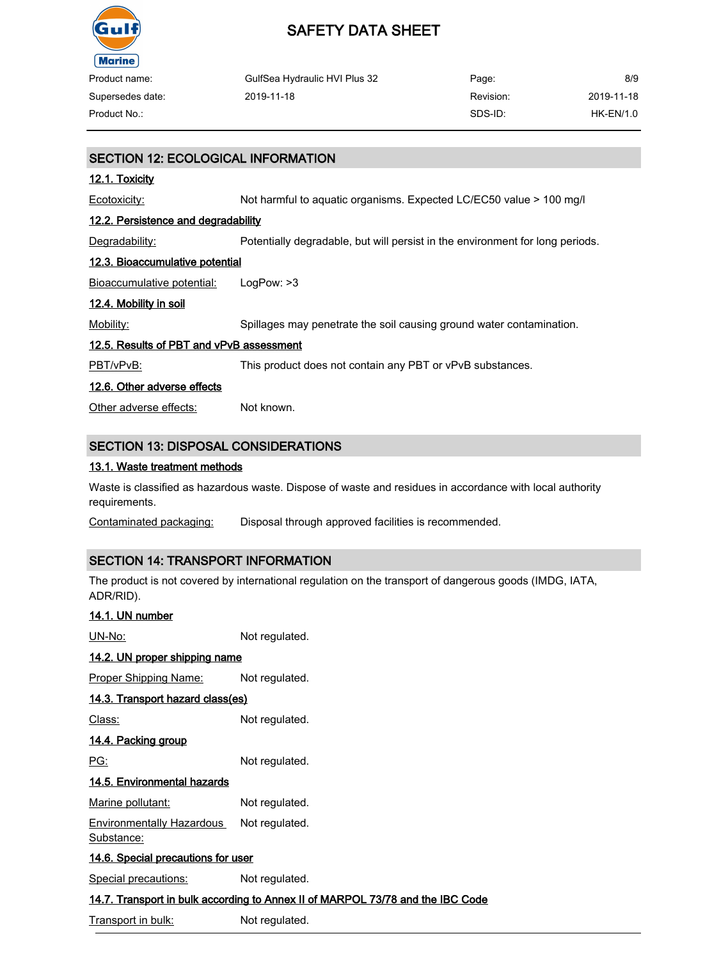

| Product name:    | GulfSea Hydraulic HVI Plus 32 | Page:     | 8/9        |
|------------------|-------------------------------|-----------|------------|
| Supersedes date: | 2019-11-18                    | Revision: | 2019-11-18 |
| Product No.:     |                               | SDS-ID:   | HK-EN/1.0  |

# SECTION 12: ECOLOGICAL INFORMATION 12.1. Toxicity Ecotoxicity: Not harmful to aquatic organisms. Expected LC/EC50 value > 100 mg/l 12.2. Persistence and degradability Degradability: Potentially degradable, but will persist in the environment for long periods. 12.3. Bioaccumulative potential Bioaccumulative potential: LogPow: >3 12.4. Mobility in soil Mobility: Spillages may penetrate the soil causing ground water contamination. 12.5. Results of PBT and vPvB assessment PBT/vPvB: This product does not contain any PBT or vPvB substances. 12.6. Other adverse effects Other adverse effects: Not known. SECTION 13: DISPOSAL CONSIDERATIONS

#### 13.1. Waste treatment methods

Waste is classified as hazardous waste. Dispose of waste and residues in accordance with local authority requirements.

Contaminated packaging: Disposal through approved facilities is recommended.

### SECTION 14: TRANSPORT INFORMATION

The product is not covered by international regulation on the transport of dangerous goods (IMDG, IATA, ADR/RID).

| 14.1. UN number                                                                |                |  |  |  |
|--------------------------------------------------------------------------------|----------------|--|--|--|
| UN-No:                                                                         | Not regulated. |  |  |  |
| <u>14.2. UN proper shipping name</u>                                           |                |  |  |  |
| <u>Proper Shipping Name:</u>                                                   | Not regulated. |  |  |  |
| 14.3. Transport hazard class(es)                                               |                |  |  |  |
| Class:                                                                         | Not regulated. |  |  |  |
| <u>14.4. Packing group</u>                                                     |                |  |  |  |
| PG:                                                                            | Not regulated. |  |  |  |
| 14.5. Environmental hazards                                                    |                |  |  |  |
| Marine pollutant:                                                              | Not regulated. |  |  |  |
| <b>Environmentally Hazardous</b><br>Substance:                                 | Not regulated. |  |  |  |
| <u>14.6. Special precautions for user</u>                                      |                |  |  |  |
| Special precautions:                                                           | Not regulated. |  |  |  |
| 14.7. Transport in bulk according to Annex II of MARPOL 73/78 and the IBC Code |                |  |  |  |

Transport in bulk: Not regulated.